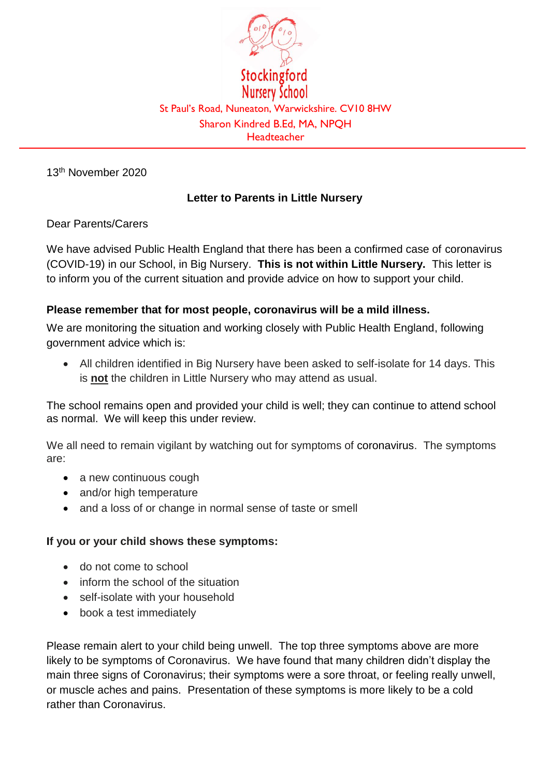

13th November 2020

## **Letter to Parents in Little Nursery**

Dear Parents/Carers

We have advised Public Health England that there has been a confirmed case of coronavirus (COVID-19) in our School, in Big Nursery. **This is not within Little Nursery.** This letter is to inform you of the current situation and provide advice on how to support your child.

## **Please remember that for most people, coronavirus will be a mild illness.**

We are monitoring the situation and working closely with Public Health England, following government advice which is:

 All children identified in Big Nursery have been asked to self-isolate for 14 days. This is **not** the children in Little Nursery who may attend as usual.

The school remains open and provided your child is well; they can continue to attend school as normal. We will keep this under review.

We all need to remain vigilant by watching out for symptoms of coronavirus. The symptoms are:

- a new continuous cough
- and/or high temperature
- and a loss of or change in normal sense of taste or smell

## **If you or your child shows these symptoms:**

- do not come to school
- inform the school of the situation
- self-isolate with your household
- book a test immediately

Please remain alert to your child being unwell. The top three symptoms above are more likely to be symptoms of Coronavirus. We have found that many children didn't display the main three signs of Coronavirus; their symptoms were a sore throat, or feeling really unwell, or muscle aches and pains. Presentation of these symptoms is more likely to be a cold rather than Coronavirus.